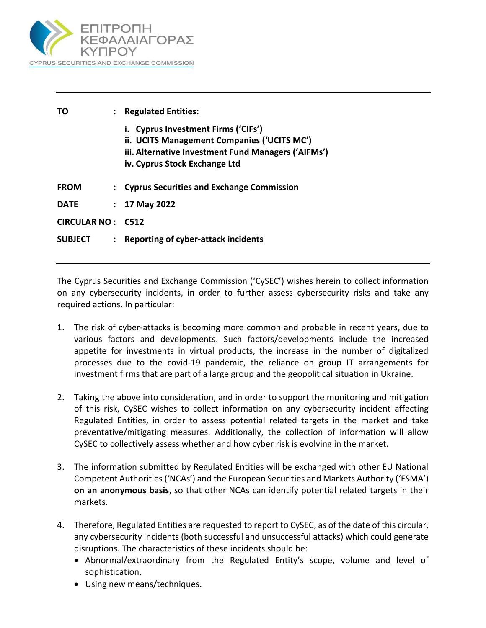

| ТΟ                | $\ddot{\phantom{a}}$ | <b>Regulated Entities:</b>                                                                                                                                                 |
|-------------------|----------------------|----------------------------------------------------------------------------------------------------------------------------------------------------------------------------|
|                   |                      | i. Cyprus Investment Firms ('CIFs')<br>ii. UCITS Management Companies ('UCITS MC')<br>iii. Alternative Investment Fund Managers ('AIFMs')<br>iv. Cyprus Stock Exchange Ltd |
| <b>FROM</b>       |                      | : Cyprus Securities and Exchange Commission                                                                                                                                |
| <b>DATE</b>       | $\mathcal{L}$        | 17 May 2022                                                                                                                                                                |
| CIRCULAR NO: C512 |                      |                                                                                                                                                                            |
| <b>SUBJECT</b>    | $\mathbf{L}$         | Reporting of cyber-attack incidents                                                                                                                                        |

The Cyprus Securities and Exchange Commission ('CySEC') wishes herein to collect information on any cybersecurity incidents, in order to further assess cybersecurity risks and take any required actions. In particular:

- 1. The risk of cyber-attacks is becoming more common and probable in recent years, due to various factors and developments. Such factors/developments include the increased appetite for investments in virtual products, the increase in the number of digitalized processes due to the covid-19 pandemic, the reliance on group IT arrangements for investment firms that are part of a large group and the geopolitical situation in Ukraine.
- 2. Taking the above into consideration, and in order to support the monitoring and mitigation of this risk, CySEC wishes to collect information on any cybersecurity incident affecting Regulated Entities, in order to assess potential related targets in the market and take preventative/mitigating measures. Additionally, the collection of information will allow CySEC to collectively assess whether and how cyber risk is evolving in the market.
- 3. The information submitted by Regulated Entities will be exchanged with other EU National Competent Authorities ('NCAs') and the European Securities and Markets Authority ('ESMA') **on an anonymous basis**, so that other NCAs can identify potential related targets in their markets.
- 4. Therefore, Regulated Entities are requested to report to CySEC, as of the date of this circular, any cybersecurity incidents (both successful and unsuccessful attacks) which could generate disruptions. The characteristics of these incidents should be:
	- Abnormal/extraordinary from the Regulated Entity's scope, volume and level of sophistication.
	- Using new means/techniques.